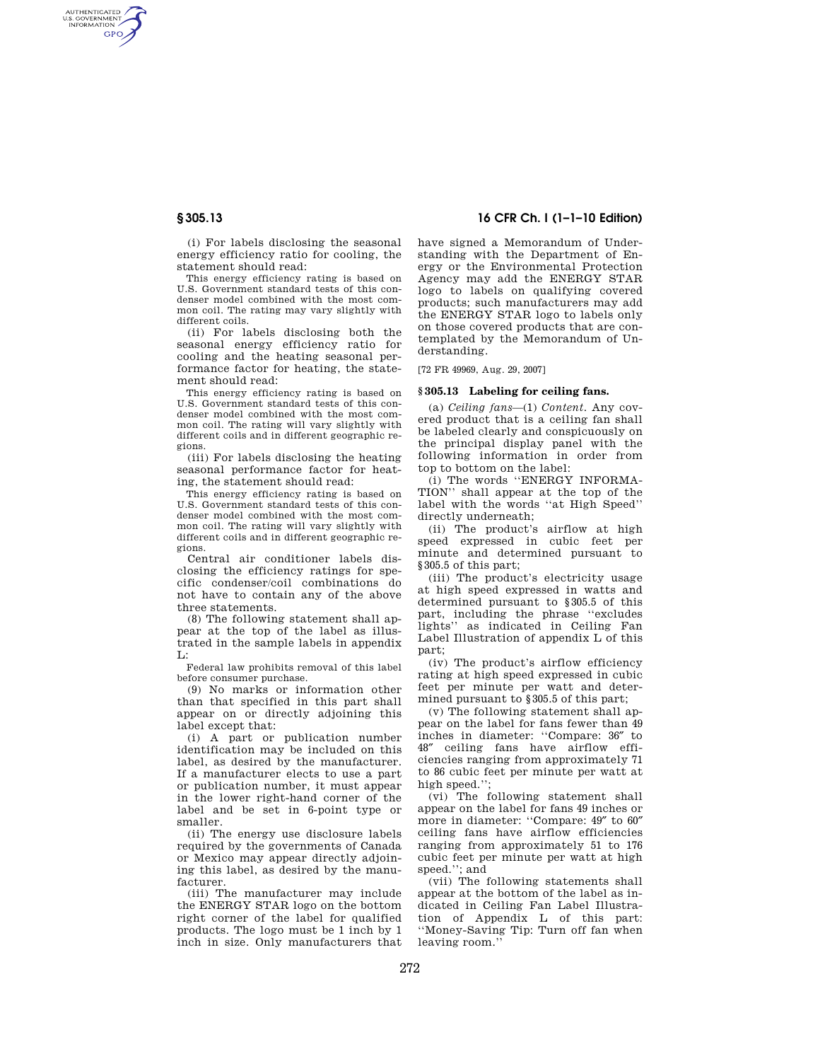AUTHENTICATED<br>U.S. GOVERNMENT<br>INFORMATION **GPO** 

> (i) For labels disclosing the seasonal energy efficiency ratio for cooling, the statement should read:

> This energy efficiency rating is based on U.S. Government standard tests of this condenser model combined with the most common coil. The rating may vary slightly with different coils.

> (ii) For labels disclosing both the seasonal energy efficiency ratio for cooling and the heating seasonal performance factor for heating, the statement should read:

> This energy efficiency rating is based on U.S. Government standard tests of this condenser model combined with the most common coil. The rating will vary slightly with different coils and in different geographic regions.

(iii) For labels disclosing the heating seasonal performance factor for heating, the statement should read:

This energy efficiency rating is based on U.S. Government standard tests of this condenser model combined with the most common coil. The rating will vary slightly with different coils and in different geographic regions.

Central air conditioner labels disclosing the efficiency ratings for specific condenser/coil combinations do not have to contain any of the above three statements.

(8) The following statement shall appear at the top of the label as illustrated in the sample labels in appendix  $\mathbf{L}$ :

Federal law prohibits removal of this label before consumer purchase.

(9) No marks or information other than that specified in this part shall appear on or directly adjoining this label except that:

(i) A part or publication number identification may be included on this label, as desired by the manufacturer. If a manufacturer elects to use a part or publication number, it must appear in the lower right-hand corner of the label and be set in 6-point type or smaller.

(ii) The energy use disclosure labels required by the governments of Canada or Mexico may appear directly adjoining this label, as desired by the manufacturer.

(iii) The manufacturer may include the ENERGY STAR logo on the bottom right corner of the label for qualified products. The logo must be 1 inch by 1 inch in size. Only manufacturers that

# **§ 305.13 16 CFR Ch. I (1–1–10 Edition)**

have signed a Memorandum of Understanding with the Department of Energy or the Environmental Protection Agency may add the ENERGY STAR logo to labels on qualifying covered products; such manufacturers may add the ENERGY STAR logo to labels only on those covered products that are contemplated by the Memorandum of Understanding.

[72 FR 49969, Aug. 29, 2007]

### **§ 305.13 Labeling for ceiling fans.**

(a) *Ceiling fans*—(1) *Content*. Any covered product that is a ceiling fan shall be labeled clearly and conspicuously on the principal display panel with the following information in order from top to bottom on the label:

(i) The words ''ENERGY INFORMA-TION'' shall appear at the top of the label with the words ''at High Speed'' directly underneath;

(ii) The product's airflow at high speed expressed in cubic feet per minute and determined pursuant to §305.5 of this part;

(iii) The product's electricity usage at high speed expressed in watts and determined pursuant to §305.5 of this part, including the phrase ''excludes lights'' as indicated in Ceiling Fan Label Illustration of appendix L of this part;

(iv) The product's airflow efficiency rating at high speed expressed in cubic feet per minute per watt and determined pursuant to §305.5 of this part;

(v) The following statement shall appear on the label for fans fewer than 49 inches in diameter: ''Compare: 36″ to 48″ ceiling fans have airflow efficiencies ranging from approximately 71 to 86 cubic feet per minute per watt at high speed.":

(vi) The following statement shall appear on the label for fans 49 inches or more in diameter: ''Compare: 49″ to 60″ ceiling fans have airflow efficiencies ranging from approximately 51 to 176 cubic feet per minute per watt at high speed.''; and

(vii) The following statements shall appear at the bottom of the label as indicated in Ceiling Fan Label Illustration of Appendix L of this part: ''Money-Saving Tip: Turn off fan when leaving room.''